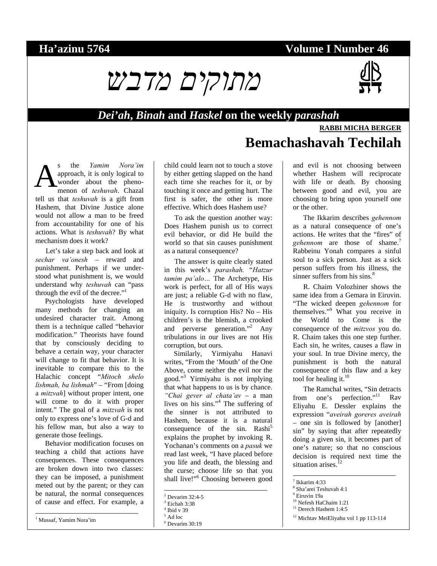## **Ha'azinu 5764 Volume I Number 46**





#### *Dei'ah***,** *Binah* **and** *Haskel* **on the weekly** *parashah*

# **RABBI MICHA BERGER**

**Bemachashavah Techilah**

s the *Yamim Nora'im* approach, it is only logical to wonder about the phenomenon of *teshuvah*. Chazal tell us that *teshuvah* is a gift from Hashem, that Divine Justice alone would not allow a man to be freed from accountability for one of his actions. What is *teshuvah*? By what mechanism does it work? A

Let's take a step back and look at *sechar va'onesh* – reward and punishment. Perhaps if we understood what punishment is, we would understand why *teshuvah* can "pass through the evil of the decree."<sup>1</sup>

Psychologists have developed many methods for changing an undesired character trait. Among them is a technique called "behavior modification." Theorists have found that by consciously deciding to behave a certain way, your character will change to fit that behavior. It is inevitable to compare this to the Halachic concept "*Mitoch shelo lishmah, ba lishmah*" – "From [doing a *mitzvah*] without proper intent, one will come to do it with proper intent." The goal of a *mitzvah* is not only to express one's love of G-d and his fellow man, but also a way to generate those feelings.

Behavior modification focuses on teaching a child that actions have consequences. These consequences are broken down into two classes: they can be imposed, a punishment meted out by the parent; or they can be natural, the normal consequences of cause and effect. For example, a

l

child could learn not to touch a stove by either getting slapped on the hand each time she reaches for it, or by touching it once and getting hurt. The first is safer, the other is more effective. Which does Hashem use?

To ask the question another way: Does Hashem punish us to correct evil behavior, or did He build the world so that sin causes punishment as a natural consequence?

The answer is quite clearly stated in this week's *parashah.* "*Hatzur tamim pa'alo…* The Archetype, His work is perfect, for all of His ways are just; a reliable G-d with no flaw, He is trustworthy and without iniquity. Is corruption His? No – His children's is the blemish, a crooked and perverse generation."<sup>2</sup> Any tribulations in our lives are not His corruption, but ours.

Similarly, Yirmiyahu Hanavi writes, "From the 'Mouth' of the One Above, come neither the evil nor the good."3 Yirmiyahu is not implying that what happens to us is by chance. *"Chai gever al chata'av* – a man lives on his sins."4 The suffering of the sinner is not attributed to Hashem, because it is a natural consequence of the sin. Rashi<sup>5</sup> explains the prophet by invoking R. Yochanan's comments on a *pasuk* we read last week, "I have placed before you life and death, the blessing and the curse; choose life so that you shall live!"<sup>6</sup> Choosing between good

1

and evil is not choosing between whether Hashem will reciprocate with life or death. By choosing between good and evil, you are choosing to bring upon yourself one or the other.

The Ikkarim describes *gehennom* as a natural consequence of one's actions. He writes that the "fires" of *gehennom* are those of shame.<sup>7</sup> Rabbeinu Yonah compares a sinful soul to a sick person. Just as a sick person suffers from his illness, the sinner suffers from his sins.<sup>8</sup>

R. Chaim Volozhiner shows the same idea from a Gemara in Eiruvin. "The wicked deepen *gehennom* for themselves."9 What you receive in the World to Come is the consequence of the *mitzvos* you do. R. Chaim takes this one step further. Each sin, he writes, causes a flaw in your soul. In true Divine mercy, the punishment is both the natural consequence of this flaw and a key tool for healing it. $10$ 

The Ramchal writes, "Sin detracts from one's perfection."<sup>11</sup> Rav Eliyahu E. Dessler explains the expression "*aveirah goreres aveirah* – one sin is followed by [another] sin" by saying that after repeatedly doing a given sin, it becomes part of one's nature; so that no conscious decision is required next time the situation arises.<sup>12</sup>

 $\overline{a}$ 

<sup>2</sup> Devarim 32:4-5

<sup>3</sup> Eichah 3:38 4

Ibid v 39 5 Ad loc

<sup>6</sup> Devarim 30:19

<sup>7</sup> Ikkarim 4:33

<sup>8</sup> Sha'arei Teshuvah 4:1

<sup>9</sup> Eiruvin 19a

<sup>10</sup> Nefesh HaChaim 1:21 <sup>11</sup> Derech Hashem 1:4:5

<sup>12</sup> Michtav MeiEliyahu vol 1 pp 113-114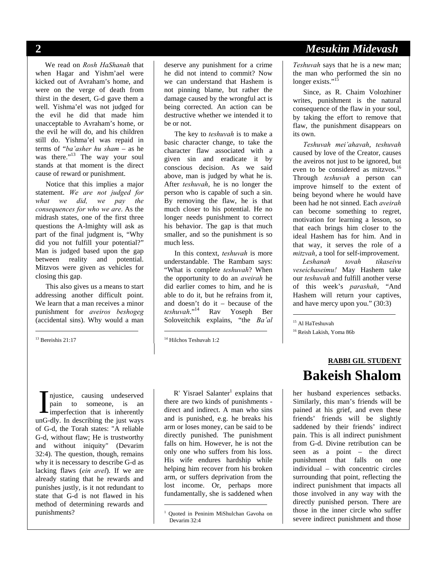We read on *Rosh HaShanah* that when Hagar and Yishm'ael were kicked out of Avraham's home, and were on the verge of death from thirst in the desert, G-d gave them a well. Yishma'el was not judged for the evil he did that made him unacceptable to Avraham's home, or the evil he will do, and his children still do. Yishma'el was repaid in terms of "*ba'asher hu sham* – as he was there."<sup>13</sup> The way your soul stands at that moment is the direct cause of reward or punishment.

Notice that this implies a major statement. *We are not judged for what we did, we pay the consequences for who we are*. As the midrash states, one of the first three questions the A-lmighty will ask as part of the final judgment is, "Why did you not fulfill your potential?" Man is judged based upon the gap between reality and potential. Mitzvos were given as vehicles for closing this gap.

This also gives us a means to start addressing another difficult point. We learn that a man receives a minor punishment for *aveiros beshogeg* (accidental sins). Why would a man

<sup>13</sup> Bereishis 21:17

l

deserve any punishment for a crime he did not intend to commit? Now we can understand that Hashem is not pinning blame, but rather the damage caused by the wrongful act is being corrected. An action can be destructive whether we intended it to be or not.

The key to *teshuvah* is to make a basic character change, to take the character flaw associated with a given sin and eradicate it by conscious decision. As we said above, man is judged by what he is. After *teshuvah*, he is no longer the person who is capable of such a sin. By removing the flaw, he is that much closer to his potential. He no longer needs punishment to correct his behavior. The gap is that much smaller, and so the punishment is so much less.

In this context, *teshuvah* is more understandable. The Rambam says: "What is complete *teshuvah*? When the opportunity to do an *aveirah* he did earlier comes to him, and he is able to do it, but he refrains from it, and doesn't do it – because of the *teshuvah*."14 Rav Yoseph Ber Soloveitchik explains, "the *Ba'al*

-

-

njustice, causing undeserved pain to someone, is an imperfection that is inherently unG-dly. In describing the just ways of G-d, the Torah states: "A reliable G-d, without flaw; He is trustworthy and without iniquity" (Devarim 32:4). The question, though, remains why it is necessary to describe G-d as lacking flaws (*ein avel*). If we are already stating that he rewards and punishes justly, is it not redundant to state that G-d is not flawed in his method of determining rewards and punishments? I

 $R'$  Yisrael Salanter<sup>1</sup> explains that there are two kinds of punishments direct and indirect. A man who sins and is punished, e.g. he breaks his arm or loses money, can be said to be directly punished. The punishment falls on him. However, he is not the only one who suffers from his loss. His wife endures hardship while helping him recover from his broken arm, or suffers deprivation from the lost income. Or, perhaps more fundamentally, she is saddened when

## **2** *Mesukim Midevash*

*Teshuvah* says that he is a new man; the man who performed the sin no longer exists."<sup>15</sup>

Since, as R. Chaim Volozhiner writes, punishment is the natural consequence of the flaw in your soul, by taking the effort to remove that flaw, the punishment disappears on its own.

*Teshuvah mei'ahavah*, *teshuvah* caused by love of the Creator, causes the aveiros not just to be ignored, but even to be considered as mitzvos.<sup>16</sup> Through *teshuvah* a person can improve himself to the extent of being beyond where he would have been had he not sinned. Each *aveirah* can become something to regret, motivation for learning a lesson, so that each brings him closer to the ideal Hashem has for him. And in that way, it serves the role of a *mitzvah*, a tool for self-improvement.

Leshanah tovah *veseichaseimu!* May Hashem take our *teshuvah* and fulfill another verse of this week's *parashah*, "And Hashem will return your captives, and have mercy upon you." (30:3)

15 Al HaTeshuvah

 $\overline{a}$ 

16 Reish Lakish, Yoma 86b

# **RABBI GIL STUDENT Bakeish Shalom**

her husband experiences setbacks. Similarly, this man's friends will be pained at his grief, and even these friends' friends will be slightly saddened by their friends' indirect pain. This is all indirect punishment from G-d. Divine retribution can be seen as a point – the direct punishment that falls on one individual – with concentric circles surrounding that point, reflecting the indirect punishment that impacts all those involved in any way with the directly punished person. There are those in the inner circle who suffer severe indirect punishment and those

<sup>14</sup> Hilchos Teshuvah 1:2

<sup>1</sup> Quoted in Peninim MiShulchan Gavoha on Devarim 32:4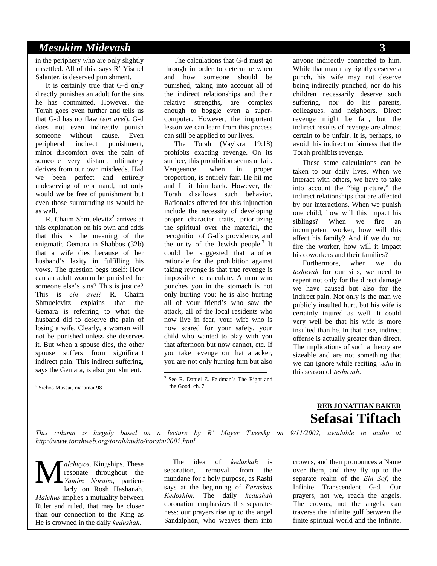#### *Mesukim Midevash* **3**

in the periphery who are only slightly unsettled. All of this, says R' Yisrael Salanter, is deserved punishment.

It is certainly true that G-d only directly punishes an adult for the sins he has committed. However, the Torah goes even further and tells us that G-d has no flaw (*ein avel*). G-d does not even indirectly punish someone without cause. Even peripheral indirect punishment, minor discomfort over the pain of someone very distant, ultimately derives from our own misdeeds. Had we been perfect and entirely undeserving of reprimand, not only would we be free of punishment but even those surrounding us would be as well.

R. Chaim Shmuelevitz<sup>2</sup> arrives at this explanation on his own and adds that this is the meaning of the enigmatic Gemara in Shabbos (32b) that a wife dies because of her husband's laxity in fulfilling his vows. The question begs itself: How can an adult woman be punished for someone else's sins? This is justice? This is *ein avel*? R. Chaim Shmuelevitz explains that the Gemara is referring to what the husband did to deserve the pain of losing a wife. Clearly, a woman will not be punished unless she deserves it. But when a spouse dies, the other spouse suffers from significant indirect pain. This indirect suffering, says the Gemara, is also punishment.

l

The calculations that G-d must go through in order to determine when and how someone should be punished, taking into account all of the indirect relationships and their relative strengths, are complex enough to boggle even a supercomputer. However, the important lesson we can learn from this process can still be applied to our lives.

The Torah (Vayikra 19:18) prohibits exacting revenge. On its surface, this prohibition seems unfair. Vengeance, when in proper proportion, is entirely fair. He hit me and I hit him back. However, the Torah disallows such behavior. Rationales offered for this injunction include the necessity of developing proper character traits, prioritizing the spiritual over the material, the recognition of G-d's providence, and the unity of the Jewish people. $3$  It could be suggested that another rationale for the prohibition against taking revenge is that true revenge is impossible to calculate. A man who punches you in the stomach is not only hurting you; he is also hurting all of your friend's who saw the attack, all of the local residents who now live in fear, your wife who is now scared for your safety, your child who wanted to play with you that afternoon but now cannot, etc. If you take revenge on that attacker, you are not only hurting him but also

1

anyone indirectly connected to him. While that man may rightly deserve a punch, his wife may not deserve being indirectly punched, nor do his children necessarily deserve such suffering, nor do his parents, colleagues, and neighbors. Direct revenge might be fair, but the indirect results of revenge are almost certain to be unfair. It is, perhaps, to avoid this indirect unfairness that the Torah prohibits revenge.

These same calculations can be taken to our daily lives. When we interact with others, we have to take into account the "big picture," the indirect relationships that are affected by our interactions. When we punish one child, how will this impact his siblings? When we fire an incompetent worker, how will this affect his family? And if we do not fire the worker, how will it impact his coworkers and their families?

Furthermore, when we do *teshuvah* for our sins, we need to repent not only for the direct damage we have caused but also for the indirect pain. Not only is the man we publicly insulted hurt, but his wife is certainly injured as well. It could very well be that his wife is more insulted than he. In that case, indirect offense is actually greater than direct. The implications of such a theory are sizeable and are not something that we can ignore while reciting *vidui* in this season of *teshuvah*.

**REB JONATHAN BAKER**

*This column is largely based on a lecture by R' Mayer Twersky on 9/11/2002, available in audio at http://www.torahweb.org/torah/audio/noraim2002.html* 

*alchuyos*. Kingships. These resonate throughout the *Yamim Noraim*, particularly on Rosh Hashanah. *Malchus* implies a mutuality between Ruler and ruled, that may be closer than our connection to the King as He is crowned in the daily *kedushah*. M

The idea of *kedushah* is separation, removal from the mundane for a holy purpose, as Rashi says at the beginning of *Parashas Kedoshim*. The daily *kedushah*  coronation emphasizes this separateness: our prayers rise up to the angel Sandalphon, who weaves them into

# **Sefasai Tiftach**

crowns, and then pronounces a Name over them, and they fly up to the separate realm of the *Ein Sof*, the Infinite Transcendent G-d. Our prayers, not we, reach the angels. The crowns, not the angels, can traverse the infinite gulf between the finite spiritual world and the Infinite.

<sup>2</sup> Sichos Mussar, ma'amar 98

<sup>3</sup> See R. Daniel Z. Feldman's The Right and the Good, ch. 7